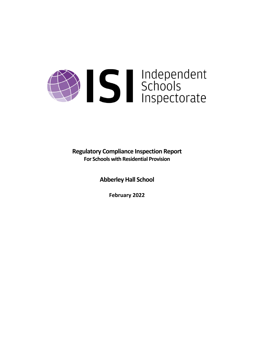# Sandependent<br>Schools<br>Inspectorate

**Regulatory Compliance Inspection Report For Schools with Residential Provision**

**Abberley Hall School**

**February 2022**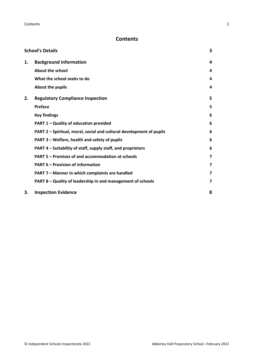# **Contents**

|    | <b>School's Details</b>                                              | 3 |
|----|----------------------------------------------------------------------|---|
| 1. | <b>Background Information</b>                                        | 4 |
|    | <b>About the school</b>                                              | 4 |
|    | What the school seeks to do                                          | 4 |
|    | About the pupils                                                     | 4 |
| 2. | <b>Regulatory Compliance Inspection</b>                              | 5 |
|    | <b>Preface</b>                                                       | 5 |
|    | <b>Key findings</b>                                                  | 6 |
|    | PART 1 - Quality of education provided                               | 6 |
|    | PART 2 - Spiritual, moral, social and cultural development of pupils | 6 |
|    | PART 3 - Welfare, health and safety of pupils                        | 6 |
|    | PART 4 – Suitability of staff, supply staff, and proprietors         | 6 |
|    | PART 5 - Premises of and accommodation at schools                    | 7 |
|    | <b>PART 6 - Provision of information</b>                             | 7 |
|    | PART 7 - Manner in which complaints are handled                      | 7 |
|    | PART 8 - Quality of leadership in and management of schools          | 7 |
| 3. | <b>Inspection Evidence</b>                                           | 8 |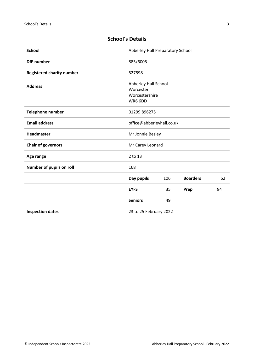# <span id="page-2-0"></span>**School's Details**

| <b>School</b>                    | Abberley Hall Preparatory School                               |     |                 |    |
|----------------------------------|----------------------------------------------------------------|-----|-----------------|----|
| <b>DfE</b> number                | 885/6005                                                       |     |                 |    |
| <b>Registered charity number</b> | 527598                                                         |     |                 |    |
| <b>Address</b>                   | Abberley Hall School<br>Worcester<br>Worcestershire<br>WR6 6DD |     |                 |    |
| <b>Telephone number</b>          | 01299 896275                                                   |     |                 |    |
| <b>Email address</b>             | office@abberleyhall.co.uk                                      |     |                 |    |
| <b>Headmaster</b>                | Mr Jonnie Besley                                               |     |                 |    |
| <b>Chair of governors</b>        | Mr Carey Leonard                                               |     |                 |    |
| Age range                        | 2 to 13                                                        |     |                 |    |
| Number of pupils on roll         | 168                                                            |     |                 |    |
|                                  | Day pupils                                                     | 106 | <b>Boarders</b> | 62 |
|                                  | <b>EYFS</b>                                                    | 35  | Prep            | 84 |
|                                  | <b>Seniors</b>                                                 | 49  |                 |    |
| <b>Inspection dates</b>          | 23 to 25 February 2022                                         |     |                 |    |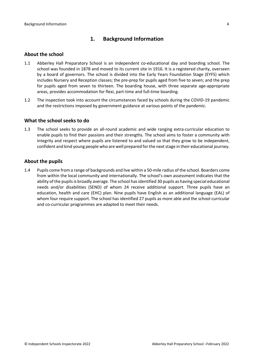# <span id="page-3-0"></span>**1. Background Information**

### <span id="page-3-1"></span>**About the school**

- 1.1 Abberley Hall Preparatory School is an independent co-educational day and boarding school. The school was founded in 1878 and moved to its current site in 1916. It is a registered charity, overseen by a board of governors. The school is divided into the Early Years Foundation Stage (EYFS) which includes Nursery and Reception classes; the pre-prep for pupils aged from five to seven; and the prep for pupils aged from seven to thirteen. The boarding house, with three separate age-appropriate areas, provides accommodation for flexi, part-time and full-time boarding.
- 1.2 The inspection took into account the circumstances faced by schools during the COVID-19 pandemic and the restrictions imposed by government guidance at various points of the pandemic.

### <span id="page-3-2"></span>**What the school seeks to do**

1.3 The school seeks to provide an all-round academic and wide ranging extra-curricular education to enable pupils to find their passions and their strengths. The school aims to foster a community with integrity and respect where pupils are listened to and valued so that they grow to be independent, confident and kind young people who are well prepared for the next stage in their educational journey.

### <span id="page-3-3"></span>**About the pupils**

1.4 Pupils come from a range of backgrounds and live within a 50-mile radius of the school. Boarders come from within the local community and internationally. The school's own assessment indicates that the ability of the pupils is broadly average. The school has identified 30 pupils as having special educational needs and/or disabilities (SEND) of whom 24 receive additional support. Three pupils have an education, health and care (EHC) plan. Nine pupils have English as an additional language (EAL) of whom four require support. The school has identified 27 pupils as more able and the school curricular and co-curricular programmes are adapted to meet their needs.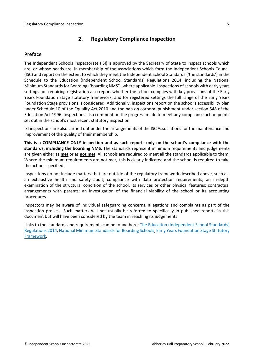# <span id="page-4-0"></span>**2. Regulatory Compliance Inspection**

### <span id="page-4-1"></span>**Preface**

The Independent Schools Inspectorate (ISI) is approved by the Secretary of State to inspect schools which are, or whose heads are, in membership of the associations which form the Independent Schools Council (ISC) and report on the extent to which they meet the Independent School Standards ('the standards') in the Schedule to the Education (Independent School Standards) Regulations 2014, including the National Minimum Standards for Boarding ('boarding NMS'), where applicable. Inspections ofschools with early years settings not requiring registration also report whether the school complies with key provisions of the Early Years Foundation Stage statutory framework, and for registered settings the full range of the Early Years Foundation Stage provisions is considered. Additionally, inspections report on the school's accessibility plan under Schedule 10 of the Equality Act 2010 and the ban on corporal punishment under section 548 of the Education Act 1996. Inspections also comment on the progress made to meet any compliance action points set out in the school's most recent statutory inspection.

ISI inspections are also carried out under the arrangements of the ISC Associations for the maintenance and improvement of the quality of their membership.

**This is a COMPLIANCE ONLY inspection and as such reports only on the school's compliance with the standards, including the boarding NMS.** The standards represent minimum requirements and judgements are given either as **met** or as **not met**. All schools are required to meet all the standards applicable to them. Where the minimum requirements are not met, this is clearly indicated and the school is required to take the actions specified.

Inspections do not include matters that are outside of the regulatory framework described above, such as: an exhaustive health and safety audit; compliance with data protection requirements; an in-depth examination of the structural condition of the school, its services or other physical features; contractual arrangements with parents; an investigation of the financial viability of the school or its accounting procedures.

Inspectors may be aware of individual safeguarding concerns, allegations and complaints as part of the inspection process. Such matters will not usually be referred to specifically in published reports in this document but will have been considered by the team in reaching its judgements.

Links to the standards and requirements can be found here: The Education [\(Independent](http://www.legislation.gov.uk/uksi/2014/3283/contents/made) School Standards) [Regulations](http://www.legislation.gov.uk/uksi/2014/3283/contents/made) 2014, National Minimum Standards for Boarding Schools, Early Years [Foundation](https://www.gov.uk/government/publications/early-years-foundation-stage-framework--2) Stage Statutory [Framework.](https://www.gov.uk/government/publications/early-years-foundation-stage-framework--2)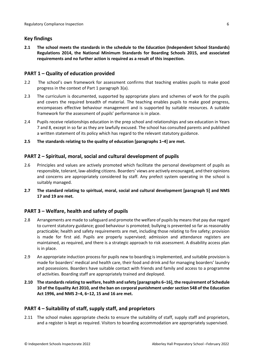## <span id="page-5-0"></span>**Key findings**

**2.1 The school meets the standards in the schedule to the Education (Independent School Standards) Regulations 2014, the National Minimum Standards for Boarding Schools 2015, and associated requirements and no further action is required as a result of this inspection.**

### <span id="page-5-1"></span>**PART 1 – Quality of education provided**

- 2.2 The school's own framework for assessment confirms that teaching enables pupils to make good progress in the context of Part 1 paragraph 3(a).
- 2.3 The curriculum is documented, supported by appropriate plans and schemes of work for the pupils and covers the required breadth of material. The teaching enables pupils to make good progress, encompasses effective behaviour management and is supported by suitable resources. A suitable framework for the assessment of pupils' performance is in place.
- 2.4 Pupils receive relationships education in the prep school and relationships and sex education in Years 7 and 8, except in so far as they are lawfully excused. The school has consulted parents and published a written statement of its policy which has regard to the relevant statutory guidance.
- **2.5 The standards relating to the quality of education [paragraphs 1–4] are met.**

# <span id="page-5-2"></span>**PART 2 – Spiritual, moral, social and cultural development of pupils**

- 2.6 Principles and values are actively promoted which facilitate the personal development of pupils as responsible, tolerant, law-abiding citizens. Boarders' views are actively encouraged, and their opinions and concerns are appropriately considered by staff. Any prefect system operating in the school is suitably managed.
- **2.7 The standard relating to spiritual, moral, social and cultural development [paragraph 5] and NMS 17 and 19 are met.**

# <span id="page-5-3"></span>**PART 3 – Welfare, health and safety of pupils**

- 2.8 Arrangements are made to safeguard and promote the welfare of pupils by meansthat pay due regard to current statutory guidance; good behaviour is promoted; bullying is prevented so far as reasonably practicable; health and safety requirements are met, including those relating to fire safety; provision is made for first aid. Pupils are properly supervised; admission and attendance registers are maintained, as required, and there is a strategic approach to risk assessment. A disability access plan is in place.
- 2.9 An appropriate induction process for pupils new to boarding is implemented, and suitable provision is made for boarders' medical and health care, their food and drink and for managing boarders' laundry and possessions. Boarders have suitable contact with friends and family and access to a programme of activities. Boarding staff are appropriately trained and deployed.
- **2.10 The standardsrelating to welfare, health and safety [paragraphs 6–16], the requirement of Schedule 10 of the Equality Act 2010, and the ban on corporal punishment undersection 548 of the Education Act 1996, and NMS 2–4, 6–12, 15 and 16 are met.**

# <span id="page-5-4"></span>**PART 4 – Suitability of staff, supply staff, and proprietors**

2.11 The school makes appropriate checks to ensure the suitability of staff, supply staff and proprietors, and a register is kept as required. Visitors to boarding accommodation are appropriately supervised.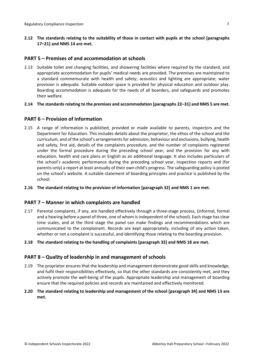**2.12 The standards relating to the suitability of those in contact with pupils at the school [paragraphs 17–21] and NMS 14 are met.**

# <span id="page-6-0"></span>**PART 5 – Premises of and accommodation at schools**

- 2.13 Suitable toilet and changing facilities, and showering facilities where required by the standard, and appropriate accommodation for pupils' medical needs are provided. The premises are maintained to a standard commensurate with health and safety; acoustics and lighting are appropriate; water provision is adequate. Suitable outdoor space is provided for physical education and outdoor play. Boarding accommodation is adequate for the needs of all boarders, and safeguards and promotes their welfare.
- **2.14 The standardsrelating to the premises and accommodation [paragraphs 22–31] and NMS 5 are met.**

# <span id="page-6-1"></span>**PART 6 – Provision of information**

- 2.15 A range of information is published, provided or made available to parents, inspectors and the Department for Education. This includes details about the proprietor, the ethos of the school and the curriculum, and of the school's arrangements for admission, behaviour and exclusions, bullying, health and safety, first aid, details of the complaints procedure, and the number of complaints registered under the formal procedure during the preceding school year, and the provision for any with education, health and care plans or English as an additional language. It also includes particulars of the school's academic performance during the preceding school year, inspection reports and (for parents only) a report at least annually of their own child's progress. The safeguarding policy is posted on the school's website. A suitable statement of boarding principles and practice is published by the school.
- **2.16 The standard relating to the provision of information [paragraph 32] and NMS 1 are met.**

# <span id="page-6-2"></span>**PART 7 – Manner in which complaints are handled**

- 2.17 Parental complaints, if any, are handled effectively through a three-stage process, (informal, formal and a hearing before a panel of three, one of whom is independent of the school). Each stage has clear time scales, and at the third stage the panel can make findings and recommendations which are communicated to the complainant. Records are kept appropriately, including of any action taken, whether or not a complaint is successful, and identifying those relating to the boarding provision.
- **2.18 The standard relating to the handling of complaints [paragraph 33] and NMS 18 are met.**

# <span id="page-6-3"></span>**PART 8 – Quality of leadership in and management of schools**

- 2.19 The proprietor ensures that the leadership and management demonstrate good skills and knowledge, and fulfil their responsibilities effectively, so that the other standards are consistently met, and they actively promote the well-being of the pupils. Appropriate leadership and management of boarding ensure that the required policies and records are maintained and effectively monitored.
- **2.20 The standard relating to leadership and management of the school [paragraph 34] and NMS 13 are met.**